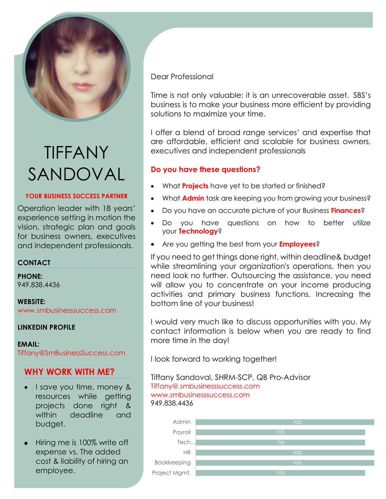

# TIFFANY SANDOVAL

### **YOUR BUSINESS SUCCESS PARTNER**

Operation leader with 18 years' experience setting in motion the vision, strategic plan and goals for business owners, executives and independent professionals.

# **CONTACT**

**PHONE:** 949.838.4436

**WEBSITE:** [www.smbusinesssuccess.com](http://www.smbusinesssuccess.com/)

### **[LINKEDIN PROFILE](https://www.linkedin.com/in/tiffanysandoval)**

**EMAIL:** [Tiffany@SmBusinessSuccess.com](mailto:Tiffany@SmBusinessSuccess.com)

# **[WHY WORK WITH ME?](https://www.smbusinesssuccess.com/about-us)**

- I save you time, money & resources while getting projects done right & within deadline and budget.
- Hiring me is 100% write off expense vs. The added cost & liability of hiring an employee.

Dear Professional

Time is not only valuable; it is an unrecoverable asset. SBS's business is to make your business more efficient by providing solutions to maximize your time.

I offer a blend of broad range services' and expertise that are affordable, efficient and scalable for business owners, executives and independent professionals

# **Do you have these questions?**

- What **[Projects](https://www.smbusinesssuccess.com/copy-of-accounting-services-1)** have yet to be started or finished?
- What **[Admin](https://www.smbusinesssuccess.com/copy-of-accounting-services-1)** task are keeping you from growing your business?
- Do you have an accurate picture of your Business **[Finances](https://www.smbusinesssuccess.com/accounting)**?
- Do you have questions on how to better utilize your **[Technology](https://www.smbusinesssuccess.com/copy-of-accounting-services-2)**?
- Are you getting the best from your **[Employees](https://www.smbusinesssuccess.com/copy-of-accounting-services)**?

If you need to get things done right, within deadline& budget while streamlining your organization's operations, then you need look no further. Outsourcing the assistance, you need will allow you to concentrate on your income producing activities and primary business functions. Increasing the bottom line of your business!

I would very much like to discuss opportunities with you. My contact information is below when you are ready to find more time in the day!

I look forward to working together!

Tiffany Sandoval, [SHRM-SCP,](https://bcert.me/bc/html/show-badge.html?b=spbrlhkm) QB Pro-Advisor [Tiffany@.smbusinesssuccess.com](mailto:Tiffany@.smbusinesssuccess.com) [www.smbusinesssuccess.com](http://www.smbusinesssuccess.com/) 949.838.4436